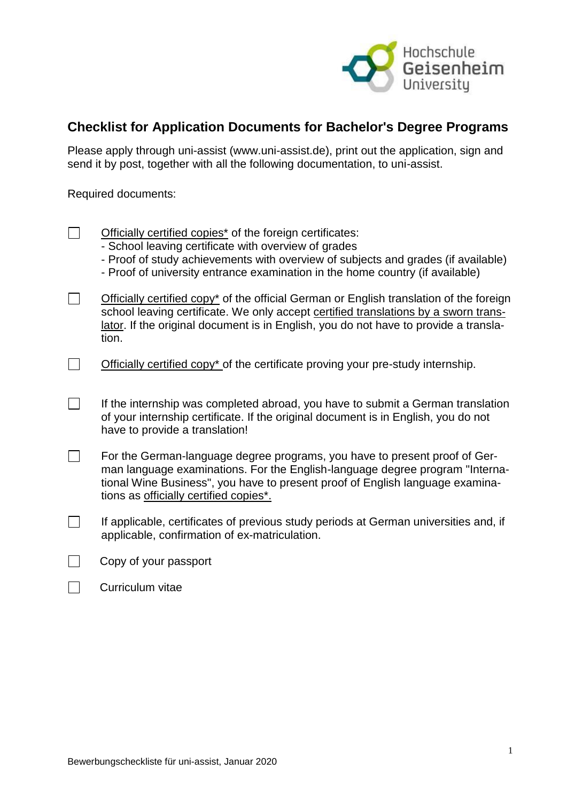

## **Checklist for Application Documents for Bachelor's Degree Programs**

Please apply through uni-assist (www.uni-assist.de), print out the application, sign and send it by post, together with all the following documentation, to uni-assist.

Required documents:

| Officially certified copies <sup>*</sup> of the foreign certificates: |
|-----------------------------------------------------------------------|
| Cohool looving contificate with overwise of quades                    |

- School leaving certificate with overview of grades
- Proof of study achievements with overview of subjects and grades (if available)
- Proof of university entrance examination in the home country (if available)
- $\Box$ Officially certified copy\* of the official German or English translation of the foreign school leaving certificate. We only accept certified translations by a sworn translator. If the original document is in English, you do not have to provide a translation.
- $\Box$ Officially certified copy\* of the certificate proving your pre-study internship.
- $\Box$ If the internship was completed abroad, you have to submit a German translation of your internship certificate. If the original document is in English, you do not have to provide a translation!
- $\Box$ For the German-language degree programs, you have to present proof of German language examinations. For the English-language degree program "International Wine Business", you have to present proof of English language examinations as officially certified copies\*.
- $\Box$ If applicable, certificates of previous study periods at German universities and, if applicable, confirmation of ex-matriculation.
- $\Box$  Copy of your passport

| Curriculum vitae |  |
|------------------|--|
|------------------|--|